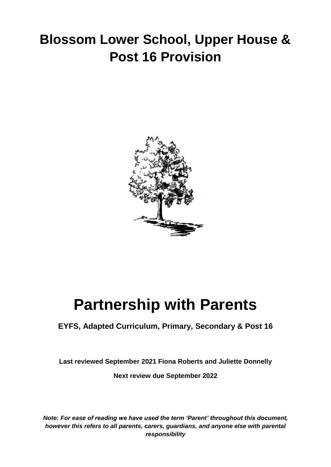## **Blossom Lower School, Upper House & Post 16 Provision**



# **Partnership with Parents**

### **EYFS, Adapted Curriculum, Primary, Secondary & Post 16**

**Last reviewed September 2021 Fiona Roberts and Juliette Donnelly**

**Next review due September 2022**

*Note: For ease of reading we have used the term 'Parent' throughout this document, however this refers to all parents, carers, guardians, and anyone else with parental responsibility*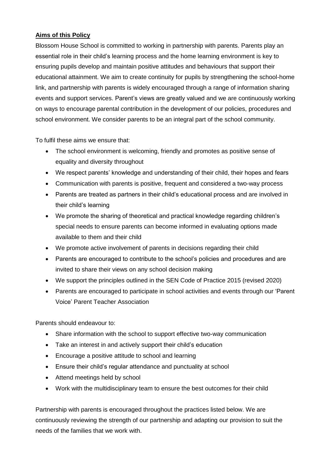#### **Aims of this Policy**

Blossom House School is committed to working in partnership with parents. Parents play an essential role in their child's learning process and the home learning environment is key to ensuring pupils develop and maintain positive attitudes and behaviours that support their educational attainment. We aim to create continuity for pupils by strengthening the school-home link, and partnership with parents is widely encouraged through a range of information sharing events and support services. Parent's views are greatly valued and we are continuously working on ways to encourage parental contribution in the development of our policies, procedures and school environment. We consider parents to be an integral part of the school community.

To fulfil these aims we ensure that:

- The school environment is welcoming, friendly and promotes as positive sense of equality and diversity throughout
- We respect parents' knowledge and understanding of their child, their hopes and fears
- Communication with parents is positive, frequent and considered a two-way process
- Parents are treated as partners in their child's educational process and are involved in their child's learning
- We promote the sharing of theoretical and practical knowledge regarding children's special needs to ensure parents can become informed in evaluating options made available to them and their child
- We promote active involvement of parents in decisions regarding their child
- Parents are encouraged to contribute to the school's policies and procedures and are invited to share their views on any school decision making
- We support the principles outlined in the SEN Code of Practice 2015 (revised 2020)
- Parents are encouraged to participate in school activities and events through our 'Parent Voice' Parent Teacher Association

Parents should endeavour to:

- Share information with the school to support effective two-way communication
- Take an interest in and actively support their child's education
- Encourage a positive attitude to school and learning
- Ensure their child's regular attendance and punctuality at school
- Attend meetings held by school
- Work with the multidisciplinary team to ensure the best outcomes for their child

Partnership with parents is encouraged throughout the practices listed below. We are continuously reviewing the strength of our partnership and adapting our provision to suit the needs of the families that we work with.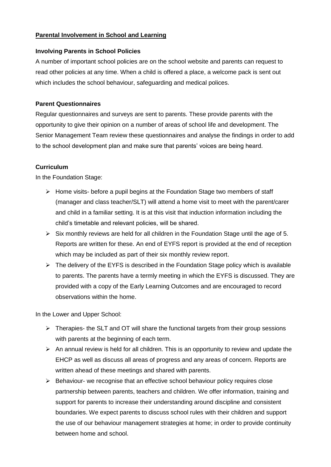#### **Parental Involvement in School and Learning**

#### **Involving Parents in School Policies**

A number of important school policies are on the school website and parents can request to read other policies at any time. When a child is offered a place, a welcome pack is sent out which includes the school behaviour, safeguarding and medical polices.

#### **Parent Questionnaires**

Regular questionnaires and surveys are sent to parents. These provide parents with the opportunity to give their opinion on a number of areas of school life and development. The Senior Management Team review these questionnaires and analyse the findings in order to add to the school development plan and make sure that parents' voices are being heard.

#### **Curriculum**

In the Foundation Stage:

- $\triangleright$  Home visits- before a pupil begins at the Foundation Stage two members of staff (manager and class teacher/SLT) will attend a home visit to meet with the parent/carer and child in a familiar setting. It is at this visit that induction information including the child's timetable and relevant policies, will be shared.
- $\triangleright$  Six monthly reviews are held for all children in the Foundation Stage until the age of 5. Reports are written for these. An end of EYFS report is provided at the end of reception which may be included as part of their six monthly review report.
- ➢ The delivery of the EYFS is described in the Foundation Stage policy which is available to parents. The parents have a termly meeting in which the EYFS is discussed. They are provided with a copy of the Early Learning Outcomes and are encouraged to record observations within the home.

In the Lower and Upper School:

- $\triangleright$  Therapies- the SLT and OT will share the functional targets from their group sessions with parents at the beginning of each term.
- ➢ An annual review is held for all children. This is an opportunity to review and update the EHCP as well as discuss all areas of progress and any areas of concern. Reports are written ahead of these meetings and shared with parents.
- ➢ Behaviour- we recognise that an effective school behaviour policy requires close partnership between parents, teachers and children. We offer information, training and support for parents to increase their understanding around discipline and consistent boundaries. We expect parents to discuss school rules with their children and support the use of our behaviour management strategies at home; in order to provide continuity between home and school.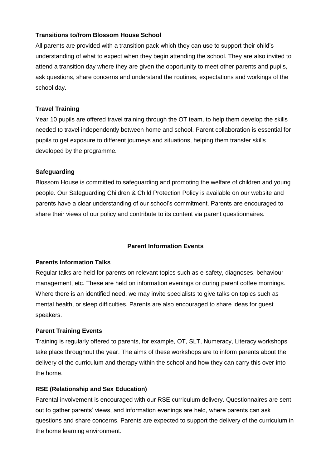#### **Transitions to/from Blossom House School**

All parents are provided with a transition pack which they can use to support their child's understanding of what to expect when they begin attending the school. They are also invited to attend a transition day where they are given the opportunity to meet other parents and pupils, ask questions, share concerns and understand the routines, expectations and workings of the school day.

#### **Travel Training**

Year 10 pupils are offered travel training through the OT team, to help them develop the skills needed to travel independently between home and school. Parent collaboration is essential for pupils to get exposure to different journeys and situations, helping them transfer skills developed by the programme.

#### **Safeguarding**

Blossom House is committed to safeguarding and promoting the welfare of children and young people. Our Safeguarding Children & Child Protection Policy is available on our website and parents have a clear understanding of our school's commitment. Parents are encouraged to share their views of our policy and contribute to its content via parent questionnaires.

#### **Parent Information Events**

#### **Parents Information Talks**

Regular talks are held for parents on relevant topics such as e-safety, diagnoses, behaviour management, etc. These are held on information evenings or during parent coffee mornings. Where there is an identified need, we may invite specialists to give talks on topics such as mental health, or sleep difficulties. Parents are also encouraged to share ideas for guest speakers.

#### **Parent Training Events**

Training is regularly offered to parents, for example, OT, SLT, Numeracy, Literacy workshops take place throughout the year. The aims of these workshops are to inform parents about the delivery of the curriculum and therapy within the school and how they can carry this over into the home.

#### **RSE (Relationship and Sex Education)**

Parental involvement is encouraged with our RSE curriculum delivery. Questionnaires are sent out to gather parents' views, and information evenings are held, where parents can ask questions and share concerns. Parents are expected to support the delivery of the curriculum in the home learning environment.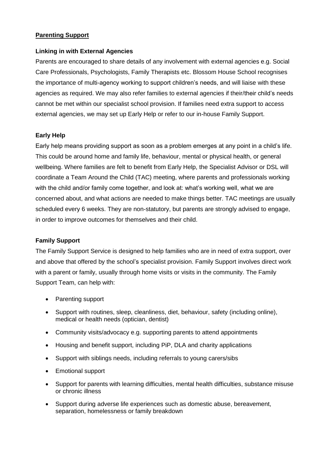#### **Parenting Support**

#### **Linking in with External Agencies**

Parents are encouraged to share details of any involvement with external agencies e.g. Social Care Professionals, Psychologists, Family Therapists etc. Blossom House School recognises the importance of multi-agency working to support children's needs, and will liaise with these agencies as required. We may also refer families to external agencies if their/their child's needs cannot be met within our specialist school provision. If families need extra support to access external agencies, we may set up Early Help or refer to our in-house Family Support.

#### **Early Help**

Early help means providing support as soon as a problem emerges at any point in a child's life. This could be around home and family life, behaviour, mental or physical health, or general wellbeing. Where families are felt to benefit from Early Help, the Specialist Advisor or DSL will coordinate a Team Around the Child (TAC) meeting, where parents and professionals working with the child and/or family come together, and look at: what's working well, what we are concerned about, and what actions are needed to make things better. TAC meetings are usually scheduled every 6 weeks. They are non-statutory, but parents are strongly advised to engage, in order to improve outcomes for themselves and their child.

#### **Family Support**

The Family Support Service is designed to help families who are in need of extra support, over and above that offered by the school's specialist provision. Family Support involves direct work with a parent or family, usually through home visits or visits in the community. The Family Support Team, can help with:

- Parenting support
- Support with routines, sleep, cleanliness, diet, behaviour, safety (including online), medical or health needs (optician, dentist)
- Community visits/advocacy e.g. supporting parents to attend appointments
- Housing and benefit support, including PiP, DLA and charity applications
- Support with siblings needs, including referrals to young carers/sibs
- Emotional support
- Support for parents with learning difficulties, mental health difficulties, substance misuse or chronic illness
- Support during adverse life experiences such as domestic abuse, bereavement, separation, homelessness or family breakdown